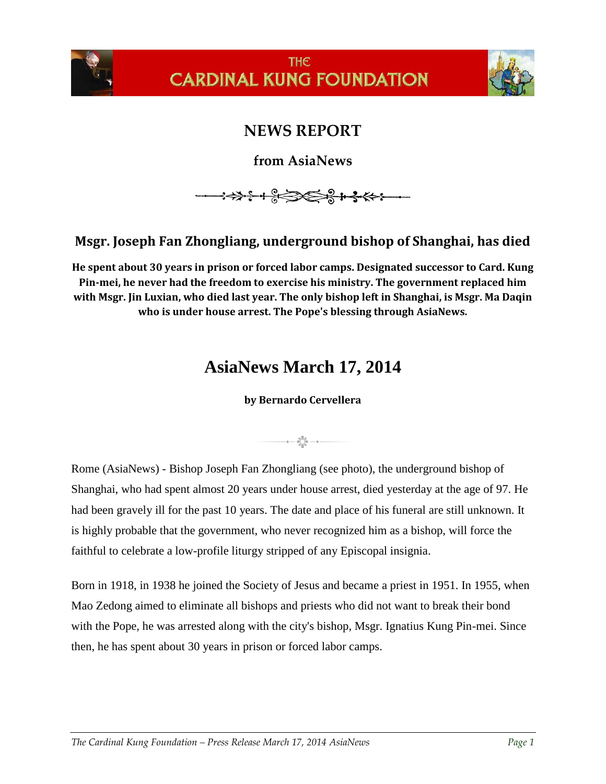



## **NEWS REPORT**

**from AsiaNews**

**→→→→←← ← → ← ←** 

## **Msgr. Joseph Fan Zhongliang, underground bishop of Shanghai, has died**

**He spent about 30 years in prison or forced labor camps. Designated successor to Card. Kung Pin-mei, he never had the freedom to exercise his ministry. The government replaced him with Msgr. Jin Luxian, who died last year. The only bishop left in Shanghai, is Msgr. Ma Daqin who is under house arrest. The Pope's blessing through AsiaNews.**

## **AsiaNews March 17, 2014**

## **by Bernardo Cervellera**

 $\cdot$ a —  $\sum_{\substack{0,0\\0\leq n\leq 0}}^{n,\overline{0},0}$  — a —

Rome (AsiaNews) - Bishop Joseph Fan Zhongliang (see photo), the underground bishop of Shanghai, who had spent almost 20 years under house arrest, died yesterday at the age of 97. He had been gravely ill for the past 10 years. The date and place of his funeral are still unknown. It is highly probable that the government, who never recognized him as a bishop, will force the faithful to celebrate a low-profile liturgy stripped of any Episcopal insignia.

Born in 1918, in 1938 he joined the Society of Jesus and became a priest in 1951. In 1955, when Mao Zedong aimed to eliminate all bishops and priests who did not want to break their bond with the Pope, he was arrested along with the city's bishop, Msgr. Ignatius Kung Pin-mei. Since then, he has spent about 30 years in prison or forced labor camps.